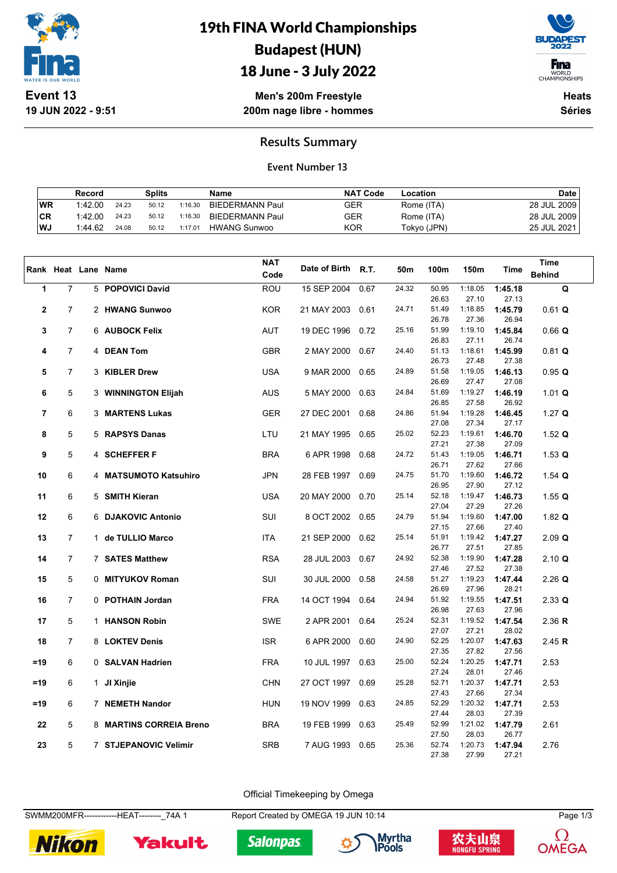

## 19th FINA World Championships Budapest (HUN)



18 June - 3 July 2022

**Men's 200m Freestyle 200m nage libre - hommes**

**Heats Séries**

### **Results Summary**

#### **Event Number 13**

|     | Record  |       | Splits |         | Name                | <b>NAT Code</b> | Location    | <b>Date</b> |
|-----|---------|-------|--------|---------|---------------------|-----------------|-------------|-------------|
| WR  | 1:42.00 | 24.23 | 50.12  | 1:16.30 | BIEDERMANN Paul     | GER             | Rome (ITA)  | 28 JUL 2009 |
| ∣CR | 1:42.00 | 24.23 | 50.12  | 1:16.30 | BIEDERMANN Paul     | GER             | Rome (ITA)  | 28 JUL 2009 |
| ∣WJ | 1:44.62 | 24.08 | 50.12  | 1:17.01 | <b>HWANG Sunwoo</b> | KOR             | Tokyo (JPN) | 25 JUL 2021 |

|              |                |                     |                         | <b>NAT</b> |                    |      |       |                |                  |                  | <b>Time</b>   |
|--------------|----------------|---------------------|-------------------------|------------|--------------------|------|-------|----------------|------------------|------------------|---------------|
|              |                | Rank Heat Lane Name |                         | Code       | Date of Birth R.T. |      | 50m   | 100m           | 150m             | <b>Time</b>      | <b>Behind</b> |
| 1            | $\overline{7}$ |                     | 5 POPOVICI David        | <b>ROU</b> | 15 SEP 2004        | 0.67 | 24.32 | 50.95          | 1:18.05          | 1:45.18          | Q             |
|              |                |                     |                         |            |                    |      |       | 26.63          | 27.10            | 27.13            |               |
| $\mathbf{2}$ | $\overline{7}$ |                     | 2 HWANG Sunwoo          | <b>KOR</b> | 21 MAY 2003        | 0.61 | 24.71 | 51.49          | 1:18.85          | 1:45.79          | $0.61$ Q      |
|              |                |                     |                         |            |                    |      |       | 26.78          | 27.36            | 26.94            |               |
| 3            | $\overline{7}$ |                     | 6 AUBOCK Felix          | <b>AUT</b> | 19 DEC 1996        | 0.72 | 25.16 | 51.99          | 1:19.10          | 1:45.84          | $0.66$ Q      |
|              |                |                     |                         |            |                    |      |       | 26.83          | 27.11            | 26.74            |               |
| 4            | $\overline{7}$ |                     | 4 DEAN Tom              | <b>GBR</b> | 2 MAY 2000         | 0.67 | 24.40 | 51.13          | 1:18.61          | 1:45.99          | $0.81$ Q      |
|              |                |                     |                         |            |                    |      |       | 26.73          | 27.48            | 27.38            |               |
| 5            | $\overline{7}$ |                     | 3 KIBLER Drew           | <b>USA</b> | 9 MAR 2000         | 0.65 | 24.89 | 51.58          | 1:19.05          | 1:46.13          | 0.95 Q        |
|              |                |                     |                         |            |                    |      |       | 26.69          | 27.47            | 27.08            |               |
| 6            | 5              |                     | 3 WINNINGTON Elijah     | <b>AUS</b> | 5 MAY 2000         | 0.63 | 24.84 | 51.69          | 1:19.27          | 1:46.19          | $1.01$ Q      |
|              |                |                     |                         |            |                    |      | 24.86 | 26.85<br>51.94 | 27.58<br>1:19.28 | 26.92            |               |
| 7            | 6              |                     | 3 MARTENS Lukas         | <b>GER</b> | 27 DEC 2001        | 0.68 |       | 27.08          | 27.34            | 1:46.45<br>27.17 | $1.27$ Q      |
| 8            | 5              |                     | 5 RAPSYS Danas          | LTU        | 21 MAY 1995        | 0.65 | 25.02 | 52.23          | 1:19.61          | 1:46.70          | 1.52 $Q$      |
|              |                |                     |                         |            |                    |      |       | 27.21          | 27.38            | 27.09            |               |
| 9            | 5              |                     | 4 SCHEFFER F            | <b>BRA</b> | 6 APR 1998         | 0.68 | 24.72 | 51.43          | 1:19.05          | 1:46.71          | 1.53 $Q$      |
|              |                |                     |                         |            |                    |      |       | 26.71          | 27.62            | 27.66            |               |
| 10           | 6              |                     | 4 MATSUMOTO Katsuhiro   | <b>JPN</b> | 28 FEB 1997        | 0.69 | 24.75 | 51.70          | 1:19.60          | 1:46.72          | 1.54 $Q$      |
|              |                |                     |                         |            |                    |      |       | 26.95          | 27.90            | 27.12            |               |
| 11           | 6              |                     | 5 SMITH Kieran          | <b>USA</b> | 20 MAY 2000        | 0.70 | 25.14 | 52.18          | 1:19.47          | 1:46.73          | 1.55 $Q$      |
|              |                |                     |                         |            |                    |      |       | 27.04          | 27.29            | 27.26            |               |
| 12           | 6              |                     | 6 DJAKOVIC Antonio      | SUI        | 8 OCT 2002         | 0.65 | 24.79 | 51.94          | 1:19.60          | 1:47.00          | 1.82 $Q$      |
|              |                |                     |                         |            |                    |      |       | 27.15          | 27.66            | 27.40            |               |
| 13           | $\overline{7}$ |                     | 1 de TULLIO Marco       | <b>ITA</b> | 21 SEP 2000        | 0.62 | 25.14 | 51.91          | 1:19.42          | 1:47.27          | $2.09$ Q      |
|              |                |                     |                         |            |                    |      |       | 26.77          | 27.51            | 27.85            |               |
| 14           | 7              |                     | 7 SATES Matthew         | <b>RSA</b> | 28 JUL 2003        | 0.67 | 24.92 | 52.38          | 1:19.90          | 1:47.28          | 2.10 Q        |
| 15           | 5              |                     |                         | SUI        |                    |      | 24.58 | 27.46<br>51.27 | 27.52<br>1:19.23 | 27.38            |               |
|              |                |                     | 0 MITYUKOV Roman        |            | 30 JUL 2000        | 0.58 |       | 26.69          | 27.96            | 1:47.44<br>28.21 | $2.26$ Q      |
| 16           | $\overline{7}$ |                     | 0 POTHAIN Jordan        | <b>FRA</b> | 14 OCT 1994        | 0.64 | 24.94 | 51.92          | 1:19.55          | 1:47.51          | $2.33$ Q      |
|              |                |                     |                         |            |                    |      |       | 26.98          | 27.63            | 27.96            |               |
| 17           | 5              |                     | 1 HANSON Robin          | <b>SWE</b> | 2 APR 2001         | 0.64 | 25.24 | 52.31          | 1:19.52          | 1:47.54          | 2.36 R        |
|              |                |                     |                         |            |                    |      |       | 27.07          | 27.21            | 28.02            |               |
| 18           | $\overline{7}$ |                     | 8 LOKTEV Denis          | <b>ISR</b> | 6 APR 2000         | 0.60 | 24.90 | 52.25          | 1:20.07          | 1:47.63          | 2.45 $R$      |
|              |                |                     |                         |            |                    |      |       | 27.35          | 27.82            | 27.56            |               |
| $=19$        | 6              |                     | 0 SALVAN Hadrien        | <b>FRA</b> | 10 JUL 1997        | 0.63 | 25.00 | 52.24          | 1:20.25          | 1:47.71          | 2.53          |
|              |                |                     |                         |            |                    |      |       | 27.24          | 28.01            | 27.46            |               |
| $=19$        | 6              |                     | 1 JI Xinjie             | <b>CHN</b> | 27 OCT 1997        | 0.69 | 25.28 | 52.71          | 1:20.37          | 1:47.71          | 2.53          |
|              |                |                     |                         |            |                    |      |       | 27.43          | 27.66            | 27.34            |               |
| $=19$        | 6              |                     | 7 NEMETH Nandor         | <b>HUN</b> | 19 NOV 1999        | 0.63 | 24.85 | 52.29          | 1:20.32          | 1:47.71          | 2.53          |
|              |                |                     |                         |            |                    |      |       | 27.44          | 28.03            | 27.39            |               |
| 22           | 5              |                     | 8 MARTINS CORREIA Breno | <b>BRA</b> | 19 FEB 1999        | 0.63 | 25.49 | 52.99<br>27.50 | 1:21.02<br>28.03 | 1:47.79<br>26.77 | 2.61          |
| 23           | 5              |                     | 7 STJEPANOVIC Velimir   | <b>SRB</b> | 7 AUG 1993         | 0.65 | 25.36 | 52.74          | 1:20.73          | 1:47.94          | 2.76          |
|              |                |                     |                         |            |                    |      |       | 27.38          | 27.99            | 27.21            |               |

Official Timekeeping by Omega

SWMM200MFR------------HEAT--------\_74A 1 Report Created by OMEGA 19 JUN 10:14 Page 1/3











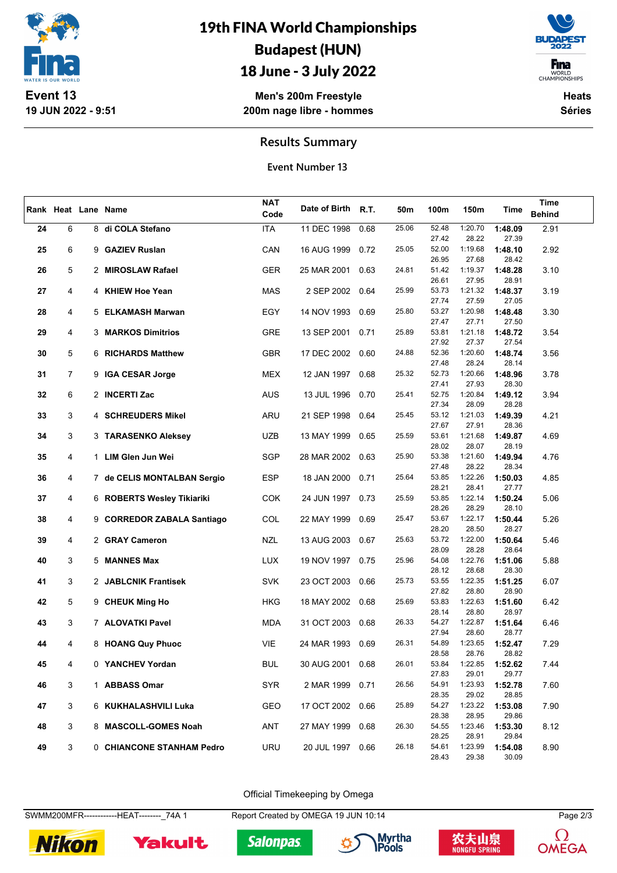

## 19th FINA World Championships Budapest (HUN)

## 18 June - 3 July 2022

**Men's 200m Freestyle 200m nage libre - hommes**



**Heats Séries**

### **Results Summary**

**Event Number 13**

|    |                |                             |            | <b>NAT</b>       |      |       |                |                  |                  | <b>Time</b>   |
|----|----------------|-----------------------------|------------|------------------|------|-------|----------------|------------------|------------------|---------------|
|    |                | Rank Heat Lane Name         | Code       | Date of Birth    | R.T. | 50m   | 100m           | 150m             | <b>Time</b>      | <b>Behind</b> |
|    |                |                             |            |                  |      |       |                |                  |                  |               |
| 24 | 6              | 8 di COLA Stefano           | <b>ITA</b> | 11 DEC 1998      | 0.68 | 25.06 | 52.48          | 1:20.70          | 1:48.09          | 2.91          |
|    |                |                             |            |                  |      |       | 27.42          | 28.22            | 27.39            |               |
| 25 | 6              | 9 GAZIEV Ruslan             | CAN        | 16 AUG 1999      | 0.72 | 25.05 | 52.00          | 1:19.68          | 1:48.10          | 2.92          |
|    |                |                             |            |                  |      |       | 26.95          | 27.68            | 28.42            |               |
| 26 | 5              | 2 MIROSLAW Rafael           | <b>GER</b> | 25 MAR 2001      | 0.63 | 24.81 | 51.42          | 1:19.37          | 1:48.28          | 3.10          |
|    |                |                             |            |                  |      |       | 26.61          | 27.95            | 28.91            |               |
| 27 | 4              | 4 KHIEW Hoe Yean            | <b>MAS</b> | 2 SEP 2002 0.64  |      | 25.99 | 53.73          | 1:21.32          | 1:48.37          | 3.19          |
|    |                |                             |            |                  |      |       | 27.74          | 27.59            | 27.05            |               |
| 28 | 4              | 5 ELKAMASH Marwan           | EGY        | 14 NOV 1993      | 0.69 | 25.80 | 53.27          | 1:20.98          | 1:48.48          | 3.30          |
|    |                |                             |            |                  |      |       | 27.47          | 27.71            | 27.50            |               |
| 29 | 4              | 3 MARKOS Dimitrios          | <b>GRE</b> | 13 SEP 2001      | 0.71 | 25.89 | 53.81          | 1:21.18          | 1:48.72          | 3.54          |
|    |                |                             |            |                  |      |       | 27.92          | 27.37            | 27.54            |               |
| 30 | 5              | 6 RICHARDS Matthew          | <b>GBR</b> | 17 DEC 2002 0.60 |      | 24.88 | 52.36<br>27.48 | 1:20.60<br>28.24 | 1:48.74<br>28.14 | 3.56          |
|    | $\overline{7}$ |                             | <b>MEX</b> |                  |      | 25.32 | 52.73          | 1:20.66          |                  |               |
| 31 |                | 9 IGA CESAR Jorge           |            | 12 JAN 1997      | 0.68 |       | 27.41          | 27.93            | 1:48.96<br>28.30 | 3.78          |
| 32 | 6              | 2 INCERTI Zac               | <b>AUS</b> | 13 JUL 1996      | 0.70 | 25.41 | 52.75          | 1:20.84          | 1:49.12          | 3.94          |
|    |                |                             |            |                  |      |       | 27.34          | 28.09            | 28.28            |               |
| 33 | 3              | 4 SCHREUDERS Mikel          | ARU        | 21 SEP 1998      | 0.64 | 25.45 | 53.12          | 1:21.03          | 1:49.39          | 4.21          |
|    |                |                             |            |                  |      |       | 27.67          | 27.91            | 28.36            |               |
| 34 | 3              | 3 TARASENKO Aleksey         | <b>UZB</b> | 13 MAY 1999      | 0.65 | 25.59 | 53.61          | 1:21.68          | 1:49.87          | 4.69          |
|    |                |                             |            |                  |      |       | 28.02          | 28.07            | 28.19            |               |
| 35 | 4              | 1 LIM Glen Jun Wei          | SGP        | 28 MAR 2002      | 0.63 | 25.90 | 53.38          | 1:21.60          | 1:49.94          | 4.76          |
|    |                |                             |            |                  |      |       | 27.48          | 28.22            | 28.34            |               |
| 36 | 4              | 7 de CELIS MONTALBAN Sergio | <b>ESP</b> | 18 JAN 2000      | 0.71 | 25.64 | 53.85          | 1:22.26          | 1:50.03          | 4.85          |
|    |                |                             |            |                  |      |       | 28.21          | 28.41            | 27.77            |               |
| 37 | 4              | 6 ROBERTS Wesley Tikiariki  | <b>COK</b> | 24 JUN 1997      | 0.73 | 25.59 | 53.85          | 1:22.14          | 1:50.24          | 5.06          |
|    |                |                             |            |                  |      |       | 28.26          | 28.29            | 28.10            |               |
| 38 | 4              | 9 CORREDOR ZABALA Santiago  | <b>COL</b> | 22 MAY 1999      | 0.69 | 25.47 | 53.67          | 1:22.17          | 1:50.44          | 5.26          |
|    |                |                             |            |                  |      |       | 28.20          | 28.50            | 28.27            |               |
| 39 | 4              | 2 GRAY Cameron              | <b>NZL</b> | 13 AUG 2003      | 0.67 | 25.63 | 53.72          | 1:22.00          | 1:50.64          | 5.46          |
|    |                |                             |            |                  |      |       | 28.09          | 28.28            | 28.64            |               |
| 40 | 3              | 5 MANNES Max                | <b>LUX</b> | 19 NOV 1997      | 0.75 | 25.96 | 54.08          | 1:22.76          | 1:51.06          | 5.88          |
|    |                |                             |            |                  |      |       | 28.12          | 28.68            | 28.30            |               |
| 41 | 3              | 2 JABLCNIK Frantisek        | <b>SVK</b> | 23 OCT 2003      | 0.66 | 25.73 | 53.55          | 1:22.35          | 1:51.25          | 6.07          |
|    |                |                             |            |                  |      |       | 27.82          | 28.80            | 28.90            |               |
| 42 | 5              | 9 CHEUK Ming Ho             | <b>HKG</b> | 18 MAY 2002 0.68 |      | 25.69 | 53.83          | 1:22.63          | 1:51.60          | 6.42          |
|    |                |                             |            |                  |      |       | 28.14          | 28.80            | 28.97            |               |
| 43 | 3              | 7 ALOVATKI Pavel            | MDA        | 31 OCT 2003      | 0.68 | 26.33 | 54.27          | 1:22.87          | 1:51.64          | 6.46          |
|    |                |                             |            |                  |      |       | 27.94          | 28.60            | 28.77            |               |
| 44 | 4              | 8 HOANG Quy Phuoc           | <b>VIE</b> | 24 MAR 1993      | 0.69 | 26.31 | 54.89          | 1:23.65          | 1:52.47          | 7.29          |
|    |                |                             |            |                  |      |       | 28.58          | 28.76<br>1:22.85 | 28.82<br>1:52.62 |               |
| 45 | 4              | 0 YANCHEV Yordan            | <b>BUL</b> | 30 AUG 2001 0.68 |      | 26.01 | 53.84<br>27.83 | 29.01            | 29.77            | 7.44          |
| 46 | 3              | 1 ABBASS Omar               | <b>SYR</b> | 2 MAR 1999       | 0.71 | 26.56 | 54.91          | 1:23.93          | 1:52.78          | 7.60          |
|    |                |                             |            |                  |      |       | 28.35          | 29.02            | 28.85            |               |
| 47 | 3              | 6 KUKHALASHVILI Luka        | GEO        | 17 OCT 2002      | 0.66 | 25.89 | 54.27          | 1:23.22          | 1:53.08          | 7.90          |
|    |                |                             |            |                  |      |       | 28.38          | 28.95            | 29.86            |               |
| 48 | 3              | 8 MASCOLL-GOMES Noah        | ANT        | 27 MAY 1999      | 0.68 | 26.30 | 54.55          | 1:23.46          | 1:53.30          | 8.12          |
|    |                |                             |            |                  |      |       | 28.25          | 28.91            | 29.84            |               |
| 49 | 3              | 0 CHIANCONE STANHAM Pedro   | <b>URU</b> | 20 JUL 1997 0.66 |      | 26.18 | 54.61          | 1:23.99          | 1:54.08          | 8.90          |
|    |                |                             |            |                  |      |       | 28.43          | 29.38            | 30.09            |               |

Official Timekeeping by Omega

SWMM200MFR------------HEAT--------\_74A 1 Report Created by OMEGA 19 JUN 10:14 Page 2/3